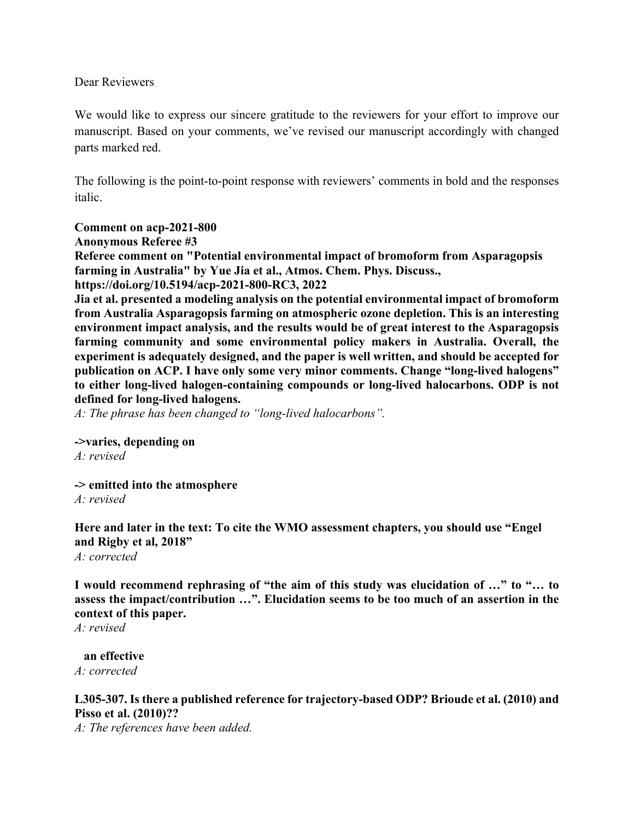Dear Reviewers

We would like to express our sincere gratitude to the reviewers for your effort to improve our manuscript. Based on your comments, we've revised our manuscript accordingly with changed parts marked red.

The following is the point-to-point response with reviewers' comments in bold and the responses italic.

## **Comment on acp-2021-800**

**Anonymous Referee #3**

**Referee comment on "Potential environmental impact of bromoform from Asparagopsis farming in Australia" by Yue Jia et al., Atmos. Chem. Phys. Discuss., https://doi.org/10.5194/acp-2021-800-RC3, 2022**

**Jia et al. presented a modeling analysis on the potential environmental impact of bromoform from Australia Asparagopsis farming on atmospheric ozone depletion. This is an interesting environment impact analysis, and the results would be of great interest to the Asparagopsis farming community and some environmental policy makers in Australia. Overall, the experiment is adequately designed, and the paper is well written, and should be accepted for publication on ACP. I have only some very minor comments. Change "long-lived halogens" to either long-lived halogen-containing compounds or long-lived halocarbons. ODP is not defined for long-lived halogens.**

*A: The phrase has been changed to "long-lived halocarbons".*

**->varies, depending on**

*A: revised*

**-> emitted into the atmosphere**

*A: revised*

**Here and later in the text: To cite the WMO assessment chapters, you should use "Engel and Rigby et al, 2018"**

*A: corrected*

**I would recommend rephrasing of "the aim of this study was elucidation of …" to "… to assess the impact/contribution …". Elucidation seems to be too much of an assertion in the context of this paper.**

*A: revised*

 **an effective** *A: corrected*

## **L305-307. Is there a published reference for trajectory-based ODP? Brioude et al. (2010) and Pisso et al. (2010)??**

*A: The references have been added.*